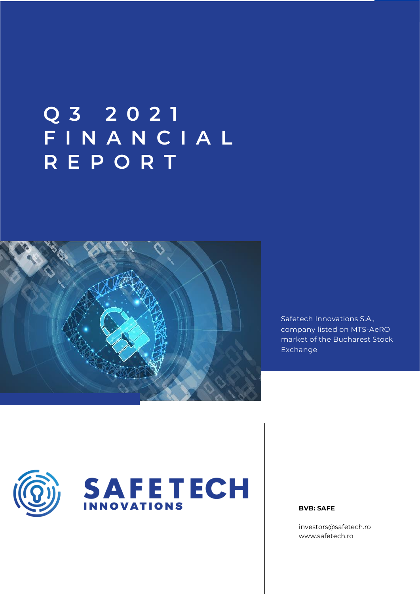# **Q 3 2 0 2 1 F I N A N C I A L R E P O R T**



Safetech Innovations S.A., company listed on MTS-AeRO market of the Bucharest Stock Exchange





**BVB: SAFE**

[investors@safetech.ro](mailto:investors@safetech.ro) www.safetech.ro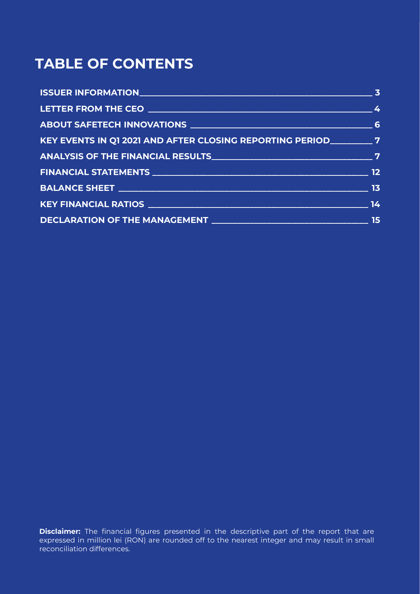# **TABLE OF CONTENTS**

| KEY EVENTS IN Q1 2021 AND AFTER CLOSING REPORTING PERIOD _________ 7 |    |
|----------------------------------------------------------------------|----|
|                                                                      |    |
|                                                                      |    |
|                                                                      |    |
|                                                                      |    |
|                                                                      | 15 |

**Disclaimer:** The financial figures presented in the descriptive part of the report that are expressed in million lei (RON) are rounded off to the nearest integer and may result in small reconciliation differences.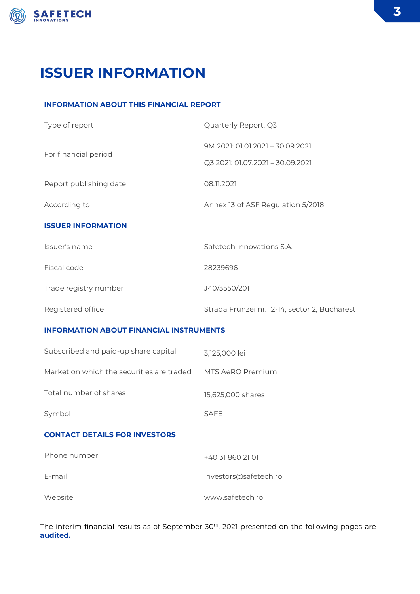

# **ISSUER INFORMATION**

### **INFORMATION ABOUT THIS FINANCIAL REPORT**

| Type of report                                 | Quarterly Report, Q3                          |  |  |
|------------------------------------------------|-----------------------------------------------|--|--|
|                                                | 9M 2021: 01.01.2021 - 30.09.2021              |  |  |
| For financial period                           | Q3 2021: 01.07.2021 - 30.09.2021              |  |  |
| Report publishing date                         | 08.11.2021                                    |  |  |
| According to                                   | Annex 13 of ASF Regulation 5/2018             |  |  |
| <b>ISSUER INFORMATION</b>                      |                                               |  |  |
| Issuer's name                                  | Safetech Innovations S.A.                     |  |  |
| Fiscal code                                    | 28239696                                      |  |  |
| Trade registry number                          | J40/3550/2011                                 |  |  |
| Registered office                              | Strada Frunzei nr. 12-14, sector 2, Bucharest |  |  |
| <b>INFORMATION ABOUT FINANCIAL INSTRUMENTS</b> |                                               |  |  |
| Subscribed and paid-up share capital           | 3,125,000 lei                                 |  |  |
| Market on which the securities are traded      | MTS AeRO Premium                              |  |  |

Total number of shares 15,625,000 shares

Symbol SAFE

### **CONTACT DETAILS FOR INVESTORS**

| Phone number | +40 31 860 21 01      |
|--------------|-----------------------|
| E-mail       | investors@safetech.ro |
| Website      | www.safetech.ro       |

The interim financial results as of September 30<sup>th</sup>, 2021 presented on the following pages are **audited.**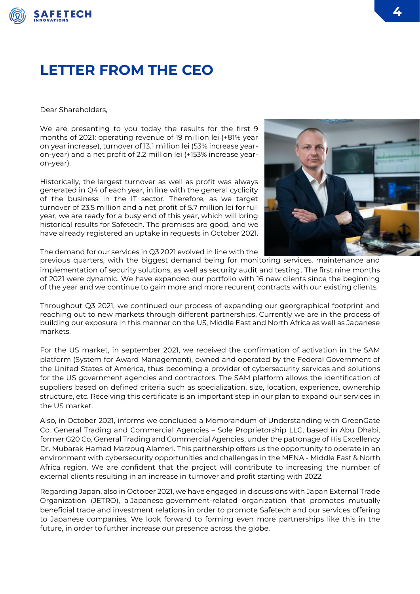

## **LETTER FROM THE CEO**

Dear Shareholders,

We are presenting to you today the results for the first 9 months of 2021: operating revenue of 19 million lei (+81% year on year increase), turnover of 13.1 million lei (53% increase yearon-year) and a net profit of 2.2 million lei (+153% increase yearon-year).

Historically, the largest turnover as well as profit was always generated in Q4 of each year, in line with the general cyclicity of the business in the IT sector. Therefore, as we target turnover of 23.5 million and a net profit of 5.7 million lei for full year, we are ready for a busy end of this year, which will bring historical results for Safetech. The premises are good, and we have already registered an uptake in requests in October 2021.



The demand for our services in Q3 2021 evolved in line with the

previous quarters, with the biggest demand being for monitoring services, maintenance and implementation of security solutions, as well as security audit and testing. The first nine months of 2021 were dynamic. We have expanded our portfolio with 16 new clients since the beginning of the year and we continue to gain more and more recurenț contracts with our existing clients.

Throughout Q3 2021, we continued our process of expanding our georgraphical footprint and reaching out to new markets through different partnerships. Currently we are in the process of building our exposure in this manner on the US, Middle East and North Africa as well as Japanese markets.

For the US market, in september 2021, we received the confirmation of activation in the SAM platform (System for Award Management), owned and operated by the Federal Government of the United States of America, thus becoming a provider of cybersecurity services and solutions for the US government agencies and contractors. The SAM platform allows the identification of suppliers based on defined criteria such as specialization, size, location, experience, ownership structure, etc. Receiving this certificate is an important step in our plan to expand our services in the US market.

Also, in October 2021, informs we concluded a Memorandum of Understanding with GreenGate Co. General Trading and Commercial Agencies – Sole Proprietorship LLC, based in Abu Dhabi, former G20 Co. General Trading and Commercial Agencies, under the patronage of His Excellency Dr. Mubarak Hamad Marzouq Alameri. This partnership offers us the opportunity to operate in an environment with cybersecurity opportunities and challenges in the MENA - Middle East & North Africa region. We are confident that the project will contribute to increasing the number of external clients resulting in an increase in turnover and profit starting with 2022.

Regarding Japan, also in October 2021, we have engaged in discussions with Japan External Trade Organization (JETRO), a Japanese government-related organization that promotes mutually beneficial trade and investment relations in order to promote Safetech and our services offering to Japanese companies. We look forward to forming even more partnerships like this in the future, in order to further increase our presence across the globe.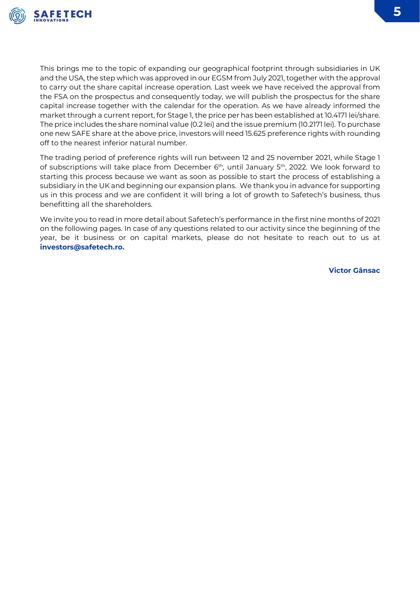

This brings me to the topic of expanding our geographical footprint through subsidiaries in UK and the USA, the step which was approved in our EGSM from July 2021, together with the approval to carry out the share capital increase operation. Last week we have received the approval from the FSA on the prospectus and consequently today, we will publish the prospectus for the share capital increase together with the calendar for the operation. As we have already informed the market through a current report, for Stage 1, the price per has been established at 10.4171 lei/share. The price includes the share nominal value (0.2 lei) and the issue premium (10.2171 lei). To purchase one new SAFE share at the above price, investors will need 15.625 preference rights with rounding off to the nearest inferior natural number.

The trading period of preference rights will run between 12 and 25 november 2021, while Stage 1 of subscriptions will take place from December 6<sup>th</sup>, until January 5<sup>th</sup>, 2022. We look forward to starting this process because we want as soon as possible to start the process of establishing a subsidiary in the UK and beginning our expansion plans. We thank you in advance for supporting us in this process and we are confident it will bring a lot of growth to Safetech's business, thus benefitting all the shareholders.

We invite you to read in more detail about Safetech's performance in the first nine months of 2021 on the following pages. In case of any questions related to our activity since the beginning of the year, be it business or on capital markets, please do not hesitate to reach out to us at **[investors@safetech.ro.](mailto:investors@safetech.ro)**

**Victor Gânsac**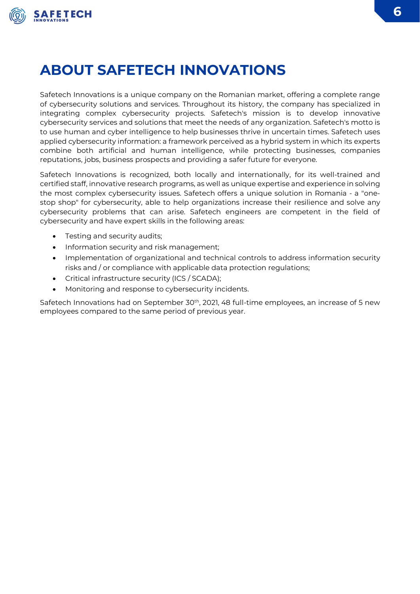

# **ABOUT SAFETECH INNOVATIONS**

Safetech Innovations is a unique company on the Romanian market, offering a complete range of cybersecurity solutions and services. Throughout its history, the company has specialized in integrating complex cybersecurity projects. Safetech's mission is to develop innovative cybersecurity services and solutions that meet the needs of any organization. Safetech's motto is to use human and cyber intelligence to help businesses thrive in uncertain times. Safetech uses applied cybersecurity information: a framework perceived as a hybrid system in which its experts combine both artificial and human intelligence, while protecting businesses, companies reputations, jobs, business prospects and providing a safer future for everyone.

Safetech Innovations is recognized, both locally and internationally, for its well-trained and certified staff, innovative research programs, as well as unique expertise and experience in solving the most complex cybersecurity issues. Safetech offers a unique solution in Romania - a "onestop shop" for cybersecurity, able to help organizations increase their resilience and solve any cybersecurity problems that can arise. Safetech engineers are competent in the field of cybersecurity and have expert skills in the following areas:

- Testing and security audits;
- Information security and risk management;
- Implementation of organizational and technical controls to address information security risks and / or compliance with applicable data protection regulations;
- Critical infrastructure security (ICS / SCADA);
- Monitoring and response to cybersecurity incidents.

Safetech Innovations had on September 30<sup>th</sup>, 2021, 48 full-time employees, an increase of 5 new employees compared to the same period of previous year.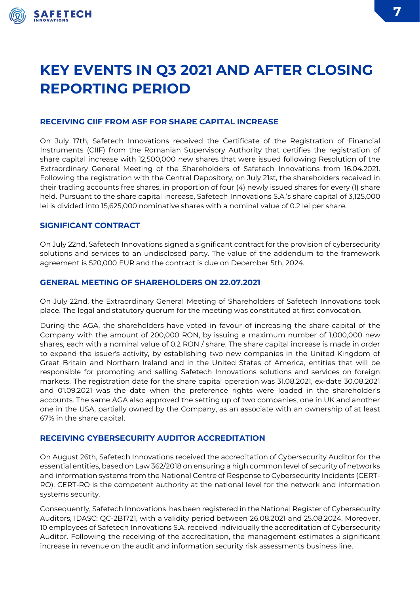

# **KEY EVENTS IN Q3 2021 AND AFTER CLOSING REPORTING PERIOD**

### **RECEIVING CIIF FROM ASF FOR SHARE CAPITAL INCREASE**

On July 17th, Safetech Innovations received the Certificate of the Registration of Financial Instruments (CIIF) from the Romanian Supervisory Authority that certifies the registration of share capital increase with 12,500,000 new shares that were issued following Resolution of the Extraordinary General Meeting of the Shareholders of Safetech Innovations from 16.04.2021. Following the registration with the Central Depository, on July 21st, the shareholders received in their trading accounts free shares, in proportion of four (4) newly issued shares for every (1) share held. Pursuant to the share capital increase, Safetech Innovations S.A.'s share capital of 3,125,000 lei is divided into 15,625,000 nominative shares with a nominal value of 0.2 lei per share.

### **SIGNIFICANT CONTRACT**

On July 22nd, Safetech Innovations signed a significant contract for the provision of cybersecurity solutions and services to an undisclosed party. The value of the addendum to the framework agreement is 520,000 EUR and the contract is due on December 5th, 2024.

### **GENERAL MEETING OF SHAREHOLDERS ON 22.07.2021**

On July 22nd, the Extraordinary General Meeting of Shareholders of Safetech Innovations took place. The legal and statutory quorum for the meeting was constituted at first convocation.

During the AGA, the shareholders have voted in favour of increasing the share capital of the Company with the amount of 200,000 RON, by issuing a maximum number of 1,000,000 new shares, each with a nominal value of 0.2 RON / share. The share capital increase is made in order to expand the issuer's activity, by establishing two new companies in the United Kingdom of Great Britain and Northern Ireland and in the United States of America, entities that will be responsible for promoting and selling Safetech Innovations solutions and services on foreign markets. The registration date for the share capital operation was 31.08.2021, ex-date 30.08.2021 and 01.09.2021 was the date when the preference rights were loaded in the shareholder's accounts. The same AGA also approved the setting up of two companies, one in UK and another one in the USA, partially owned by the Company, as an associate with an ownership of at least 67% in the share capital.

### **RECEIVING CYBERSECURITY AUDITOR ACCREDITATION**

On August 26th, Safetech Innovations received the accreditation of Cybersecurity Auditor for the essential entities, based on Law 362/2018 on ensuring a high common level of security of networks and information systems from the National Centre of Response to Cybersecurity Incidents (CERT-RO). CERT-RO is the competent authority at the national level for the network and information systems security.

Consequently, Safetech Innovations has been registered in the National Register of Cybersecurity Auditors, IDASC: QC-2B1721, with a validity period between 26.08.2021 and 25.08.2024. Moreover, 10 employees of Safetech Innovations S.A. received individually the accreditation of Cybersecurity Auditor. Following the receiving of the accreditation, the management estimates a significant increase in revenue on the audit and information security risk assessments business line.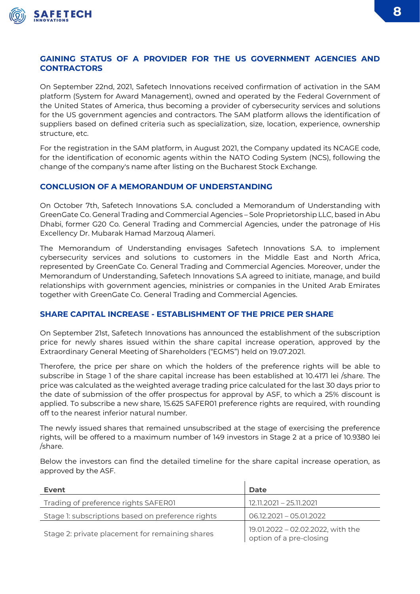

### **GAINING STATUS OF A PROVIDER FOR THE US GOVERNMENT AGENCIES AND CONTRACTORS**

On September 22nd, 2021, Safetech Innovations received confirmation of activation in the SAM platform (System for Award Management), owned and operated by the Federal Government of the United States of America, thus becoming a provider of cybersecurity services and solutions for the US government agencies and contractors. The SAM platform allows the identification of suppliers based on defined criteria such as specialization, size, location, experience, ownership structure, etc.

For the registration in the SAM platform, in August 2021, the Company updated its NCAGE code, for the identification of economic agents within the NATO Coding System (NCS), following the change of the company's name after listing on the Bucharest Stock Exchange.

### **CONCLUSION OF A MEMORANDUM OF UNDERSTANDING**

On October 7th, Safetech Innovations S.A. concluded a Memorandum of Understanding with GreenGate Co. General Trading and Commercial Agencies – Sole Proprietorship LLC, based in Abu Dhabi, former G20 Co. General Trading and Commercial Agencies, under the patronage of His Excellency Dr. Mubarak Hamad Marzouq Alameri.

The Memorandum of Understanding envisages Safetech Innovations S.A. to implement cybersecurity services and solutions to customers in the Middle East and North Africa, represented by GreenGate Co. General Trading and Commercial Agencies. Moreover, under the Memorandum of Understanding, Safetech Innovations S.A agreed to initiate, manage, and build relationships with government agencies, ministries or companies in the United Arab Emirates together with GreenGate Co. General Trading and Commercial Agencies.

### **SHARE CAPITAL INCREASE - ESTABLISHMENT OF THE PRICE PER SHARE**

On September 21st, Safetech Innovations has announced the establishment of the subscription price for newly shares issued within the share capital increase operation, approved by the Extraordinary General Meeting of Shareholders ("EGMS") held on 19.07.2021.

Therofere, the price per share on which the holders of the preference rights will be able to subscribe in Stage 1 of the share capital increase has been established at 10.4171 lei /share. The price was calculated as the weighted average trading price calculated for the last 30 days prior to the date of submission of the offer prospectus for approval by ASF, to which a 25% discount is applied. To subscribe a new share, 15.625 SAFER01 preference rights are required, with rounding off to the nearest inferior natural number.

The newly issued shares that remained unsubscribed at the stage of exercising the preference rights, will be offered to a maximum number of 149 investors in Stage 2 at a price of 10.9380 lei /share.

Below the investors can find the detailed timeline for the share capital increase operation, as approved by the ASF.

| Event                                             | <b>Date</b>                                                  |
|---------------------------------------------------|--------------------------------------------------------------|
| Trading of preference rights SAFER01              | 12.11.2021 - 25.11.2021                                      |
| Stage 1: subscriptions based on preference rights | $06.12.2021 - 05.01.2022$                                    |
| Stage 2: private placement for remaining shares   | 19.01.2022 - 02.02.2022, with the<br>option of a pre-closing |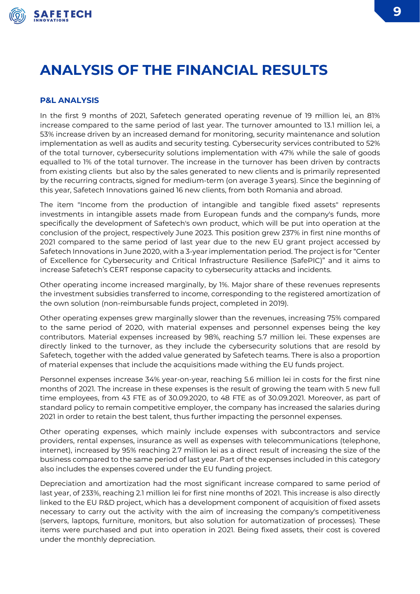

# **ANALYSIS OF THE FINANCIAL RESULTS**

#### **P&L ANALYSIS**

In the first 9 months of 2021, Safetech generated operating revenue of 19 million lei, an 81% increase compared to the same period of last year. The turnover amounted to 13.1 million lei, a 53% increase driven by an increased demand for monitoring, security maintenance and solution implementation as well as audits and security testing. Cybersecurity services contributed to 52% of the total turnover, cybersecurity solutions implementation with 47% while the sale of goods equalled to 1% of the total turnover. The increase in the turnover has been driven by contracts from existing clients but also by the sales generated to new clients and is primarily represented by the recurring contracts, signed for medium-term (on average 3 years). Since the beginning of this year, Safetech Innovations gained 16 new clients, from both Romania and abroad.

The item "Income from the production of intangible and tangible fixed assets" represents investments in intangible assets made from European funds and the company's funds, more specifically the development of Safetech's own product, which will be put into operation at the conclusion of the project, respectively June 2023. This position grew 237% in first nine months of 2021 compared to the same period of last year due to the new EU grant project accessed by Safetech Innovations in June 2020, with a 3-year implementation period. The project is for "Center of Excellence for Cybersecurity and Critical Infrastructure Resilience (SafePIC)" and it aims to increase Safetech's CERT response capacity to cybersecurity attacks and incidents.

Other operating income increased marginally, by 1%. Major share of these revenues represents the investment subsidies transferred to income, corresponding to the registered amortization of the own solution (non-reimbursable funds project, completed in 2019).

Other operating expenses grew marginally slower than the revenues, increasing 75% compared to the same period of 2020, with material expenses and personnel expenses being the key contributors. Material expenses increased by 98%, reaching 5.7 million lei. These expenses are directly linked to the turnover, as they include the cybersecurity solutions that are resold by Safetech, together with the added value generated by Safetech teams. There is also a proportion of material expenses that include the acquisitions made withing the EU funds project.

Personnel expenses increase 34% year-on-year, reaching 5.6 million lei in costs for the first nine months of 2021. The increase in these expenses is the result of growing the team with 5 new full time employees, from 43 FTE as of 30.09.2020, to 48 FTE as of 30.09.2021. Moreover, as part of standard policy to remain competitive employer, the company has increased the salaries during 2021 in order to retain the best talent, thus further impacting the personnel expenses.

Other operating expenses, which mainly include expenses with subcontractors and service providers, rental expenses, insurance as well as expenses with telecommunications (telephone, internet), increased by 95% reaching 2.7 million lei as a direct result of increasing the size of the business compared to the same period of last year. Part of the expenses included in this category also includes the expenses covered under the EU funding project.

Depreciation and amortization had the most significant increase compared to same period of last year, of 233%, reaching 2.1 million lei for first nine months of 2021. This increase is also directly linked to the EU R&D project, which has a development component of acquisition of fixed assets necessary to carry out the activity with the aim of increasing the company's competitiveness (servers, laptops, furniture, monitors, but also solution for automatization of processes). These items were purchased and put into operation in 2021. Being fixed assets, their cost is covered under the monthly depreciation.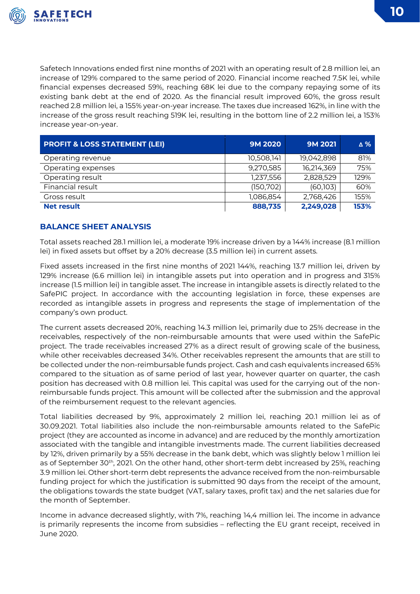

Safetech Innovations ended first nine months of 2021 with an operating result of 2.8 million lei, an increase of 129% compared to the same period of 2020. Financial income reached 7.5K lei, while financial expenses decreased 59%, reaching 68K lei due to the company repaying some of its existing bank debt at the end of 2020. As the financial result improved 60%, the gross result reached 2.8 million lei, a 155% year-on-year increase. The taxes due increased 162%, in line with the increase of the gross result reaching 519K lei, resulting in the bottom line of 2.2 million lei, a 153% increase year-on-year.

| <b>PROFIT &amp; LOSS STATEMENT (LEI)</b> | <b>9M 2020</b> | <b>9M 2021</b> | ∆%   |
|------------------------------------------|----------------|----------------|------|
| Operating revenue                        | 10,508,141     | 19,042,898     | 81%  |
| Operating expenses                       | 9,270,585      | 16,214,369     | 75%  |
| Operating result                         | 1,237,556      | 2,828,529      | 129% |
| Financial result                         | (150, 702)     | (60, 103)      | 60%  |
| Gross result                             | 1,086,854      | 2,768,426      | 155% |
| <b>Net result</b>                        | 888,735        | 2,249,028      | 153% |

### **BALANCE SHEET ANALYSIS**

Total assets reached 28.1 million lei, a moderate 19% increase driven by a 144% increase (8.1 million lei) in fixed assets but offset by a 20% decrease (3.5 million lei) in current assets.

Fixed assets increased in the first nine months of 2021 144%, reaching 13.7 million lei, driven by 129% increase (6.6 million lei) in intangible assets put into operation and in progress and 315% increase (1.5 million lei) in tangible asset. The increase in intangible assets is directly related to the SafePIC project. In accordance with the accounting legislation in force, these expenses are recorded as intangible assets in progress and represents the stage of implementation of the company's own product.

The current assets decreased 20%, reaching 14.3 million lei, primarily due to 25% decrease in the receivables, respectively of the non-reimbursable amounts that were used within the SafePic project. The trade receivables increased 27% as a direct result of growing scale of the business, while other receivables decreased 34%. Other receivables represent the amounts that are still to be collected under the non-reimbursable funds project. Cash and cash equivalents increased 65% compared to the situation as of same period of last year, however quarter on quarter, the cash position has decreased with 0.8 million lei. This capital was used for the carrying out of the nonreimbursable funds project. This amount will be collected after the submission and the approval of the reimbursement request to the relevant agencies.

Total liabilities decreased by 9%, approximately 2 million lei, reaching 20.1 million lei as of 30.09.2021. Total liabilities also include the non-reimbursable amounts related to the SafePic project (they are accounted as income in advance) and are reduced by the monthly amortization associated with the tangible and intangible investments made. The current liabilities decreased by 12%, driven primarily by a 55% decrease in the bank debt, which was slightly below 1 million lei as of September 30<sup>th</sup>, 2021. On the other hand, other short-term debt increased by 25%, reaching 3.9 million lei. Other short-term debt represents the advance received from the non-reimbursable funding project for which the justification is submitted 90 days from the receipt of the amount, the obligations towards the state budget (VAT, salary taxes, profit tax) and the net salaries due for the month of September.

Income in advance decreased slightly, with 7%, reaching 14,4 million lei. The income in advance is primarily represents the income from subsidies – reflecting the EU grant receipt, received in June 2020.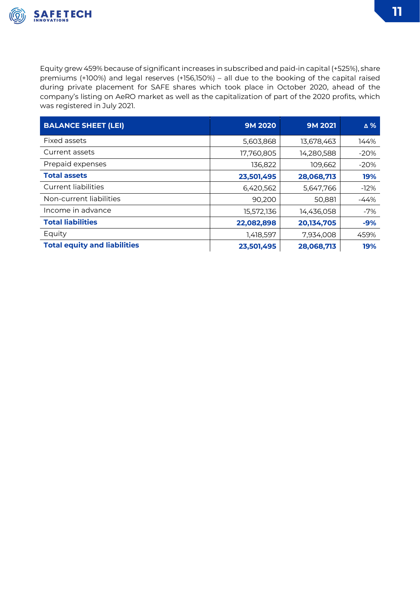

Equity grew 459% because of significant increases in subscribed and paid-in capital (+525%), share premiums (+100%) and legal reserves (+156,150%) – all due to the booking of the capital raised during private placement for SAFE shares which took place in October 2020, ahead of the company's listing on AeRO market as well as the capitalization of part of the 2020 profits, which was registered in July 2021.

| <b>BALANCE SHEET (LEI)</b>          | <b>9M 2020</b> | <b>9M 2021</b> | ∆%     |
|-------------------------------------|----------------|----------------|--------|
| Fixed assets                        | 5,603,868      | 13,678,463     | 144%   |
| Current assets                      | 17,760,805     | 14,280,588     | $-20%$ |
| Prepaid expenses                    | 136,822        | 109,662        | $-20%$ |
| <b>Total assets</b>                 | 23,501,495     | 28,068,713     | 19%    |
| <b>Current liabilities</b>          | 6,420,562      | 5,647,766      | $-12%$ |
| Non-current liabilities             | 90,200         | 50,881         | $-44%$ |
| Income in advance                   | 15,572,136     | 14,436,058     | $-7%$  |
| <b>Total liabilities</b>            | 22,082,898     | 20,134,705     | $-9%$  |
| Equity                              | 1,418,597      | 7,934,008      | 459%   |
| <b>Total equity and liabilities</b> | 23,501,495     | 28,068,713     | 19%    |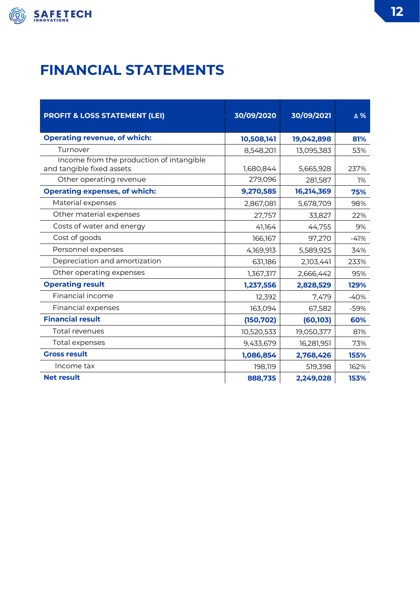

# **FINANCIAL STATEMENTS**

| <b>PROFIT &amp; LOSS STATEMENT (LEI)</b>                              | 30/09/2020 | 30/09/2021 | △%     |
|-----------------------------------------------------------------------|------------|------------|--------|
| <b>Operating revenue, of which:</b>                                   | 10,508,141 | 19,042,898 | 81%    |
| Turnover                                                              | 8,548,201  | 13,095,383 | 53%    |
| Income from the production of intangible<br>and tangible fixed assets | 1,680,844  | 5,665,928  | 237%   |
| Other operating revenue                                               | 279,096    | 281,587    | 1%     |
| <b>Operating expenses, of which:</b>                                  | 9,270,585  | 16,214,369 | 75%    |
| Material expenses                                                     | 2,867,081  | 5,678,709  | 98%    |
| Other material expenses                                               | 27,757     | 33,827     | 22%    |
| Costs of water and energy                                             | 41,164     | 44,755     | 9%     |
| Cost of goods                                                         | 166,167    | 97,270     | $-41%$ |
| Personnel expenses                                                    | 4,169,913  | 5,589,925  | 34%    |
| Depreciation and amortization                                         | 631,186    | 2,103,441  | 233%   |
| Other operating expenses                                              | 1,367,317  | 2,666,442  | 95%    |
| <b>Operating result</b>                                               | 1,237,556  | 2,828,529  | 129%   |
| Financial income                                                      | 12,392     | 7,479      | $-40%$ |
| Financial expenses                                                    | 163,094    | 67,582     | -59%   |
| <b>Financial result</b>                                               | (150, 702) | (60, 103)  | 60%    |
| Total revenues                                                        | 10,520,533 | 19,050,377 | 81%    |
| Total expenses                                                        | 9,433,679  | 16,281,951 | 73%    |
| <b>Gross result</b>                                                   | 1,086,854  | 2,768,426  | 155%   |
| Income tax                                                            | 198,119    | 519,398    | 162%   |
| <b>Net result</b>                                                     | 888,735    | 2,249,028  | 153%   |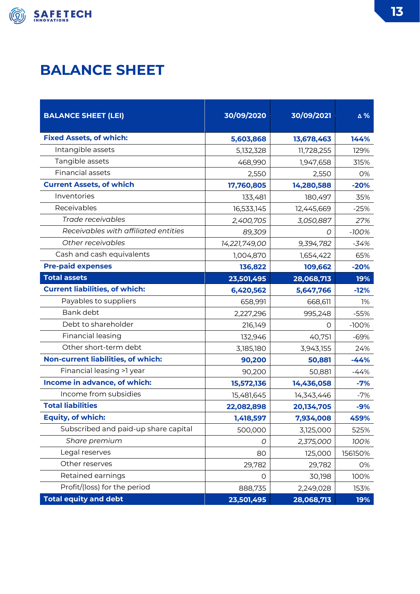

# **BALANCE SHEET**

| <b>BALANCE SHEET (LEI)</b>            | 30/09/2020    | 30/09/2021 | Δ%      |
|---------------------------------------|---------------|------------|---------|
| <b>Fixed Assets, of which:</b>        | 5,603,868     | 13,678,463 | 144%    |
| Intangible assets                     | 5,132,328     | 11,728,255 | 129%    |
| Tangible assets                       | 468,990       | 1,947,658  | 315%    |
| <b>Financial assets</b>               | 2,550         | 2,550      | 0%      |
| <b>Current Assets, of which</b>       | 17,760,805    | 14,280,588 | $-20%$  |
| Inventories                           | 133,481       | 180,497    | 35%     |
| Receivables                           | 16,533,145    | 12,445,669 | $-25%$  |
| Trade receivables                     | 2,400,705     | 3,050,887  | 27%     |
| Receivables with affiliated entities  | 89,309        | 0          | $-100%$ |
| Other receivables                     | 14,221,749,00 | 9,394,782  | -34%    |
| Cash and cash equivalents             | 1,004,870     | 1,654,422  | 65%     |
| <b>Pre-paid expenses</b>              | 136,822       | 109,662    | $-20%$  |
| <b>Total assets</b>                   | 23,501,495    | 28,068,713 | 19%     |
| <b>Current liabilities, of which:</b> | 6,420,562     | 5,647,766  | $-12%$  |
| Payables to suppliers                 | 658,991       | 668,611    | 1%      |
| Bank debt                             | 2,227,296     | 995,248    | $-55%$  |
| Debt to shareholder                   | 216,149       | O          | $-100%$ |
| Financial leasing                     | 132,946       | 40,751     | $-69%$  |
| Other short-term debt                 | 3,185,180     | 3,943,155  | 24%     |
| Non-current liabilities, of which:    | 90,200        | 50,881     | $-44%$  |
| Financial leasing >1 year             | 90,200        | 50,881     | $-44%$  |
| Income in advance, of which:          | 15,572,136    | 14,436,058 | $-7%$   |
| Income from subsidies                 | 15,481,645    | 14,343,446 | $-7%$   |
| <b>Total liabilities</b>              | 22,082,898    | 20,134,705 | $-9%$   |
| <b>Equity, of which:</b>              | 1,418,597     | 7,934,008  | 459%    |
| Subscribed and paid-up share capital  | 500,000       | 3,125,000  | 525%    |
| Share premium                         | 0             | 2,375,000  | 100%    |
| Legal reserves                        | 80            | 125,000    | 156150% |
| Other reserves                        | 29,782        | 29,782     | 0%      |
| Retained earnings                     | 0             | 30,198     | 100%    |
| Profit/(loss) for the period          | 888,735       | 2,249,028  | 153%    |
| <b>Total equity and debt</b>          | 23,501,495    | 28,068,713 | 19%     |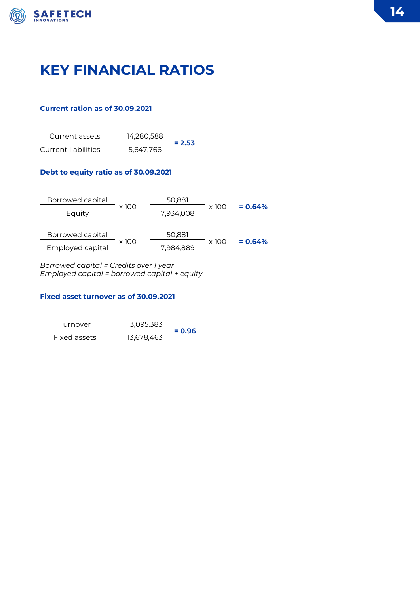

# **KEY FINANCIAL RATIOS**

### **Current ration as of 30.09.2021**

Current assets 14,280,588 **= 2.53** Current liabilities 5,647,766

### **Debt to equity ratio as of 30.09.2021**

| Borrowed capital |              | 50,881    |              |           |
|------------------|--------------|-----------|--------------|-----------|
| Equity           | $\times$ 100 | 7,934,008 | x 100        | $= 0.64%$ |
| Borrowed capital |              | 50,881    |              |           |
| Employed capital | $\times$ 100 | 7,984,889 | $\times$ 100 | $= 0.64%$ |
|                  |              |           |              |           |

*Borrowed capital = Credits over 1 year Employed capital = borrowed capital + equity*

#### **Fixed asset turnover as of 30.09.2021**

| Turnover     | 13.095.383 |          |
|--------------|------------|----------|
| Fixed assets | 13,678,463 | $= 0.96$ |